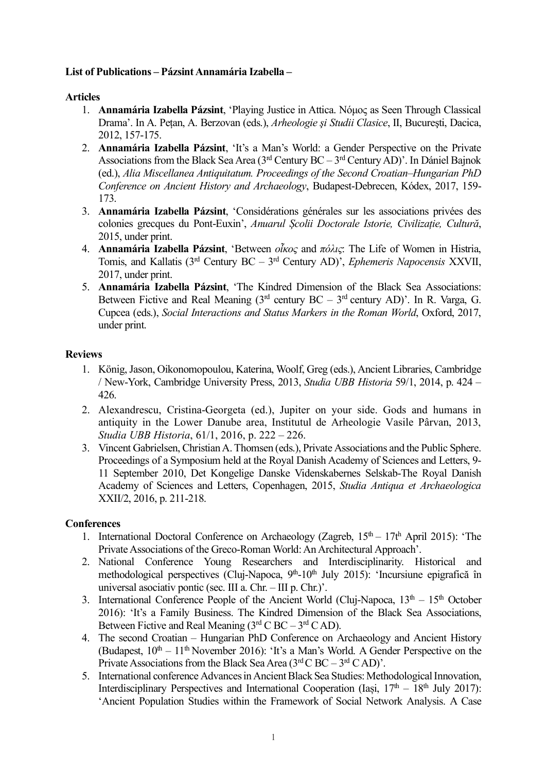## **List of Publications – Pázsint Annamária Izabella –**

## **Articles**

- 1. **Annamária Izabella Pázsint**, 'Playing Justice in Attica. Nόµος as Seen Through Classical Drama'. In A. Pețan, A. Berzovan (eds.), *Arheologie şi Studii Clasice*, II, Bucureşti, Dacica, 2012, 157-175.
- 2. **Annamária Izabella Pázsint**, 'It's a Man's World: a Gender Perspective on the Private Associations from the Black Sea Area  $(3<sup>rd</sup>$  Century BC –  $3<sup>rd</sup>$  Century AD)'. In Dániel Bajnok (ed.), *Alia Miscellanea Antiquitatum. Proceedings of the Second Croatian–Hungarian PhD Conference on Ancient History and Archaeology*, Budapest-Debrecen, Kódex, 2017, 159- 173.
- 3. **Annamária Izabella Pázsint**, 'Considérations générales sur les associations privées des colonies grecques du Pont-Euxin', *Anuarul Școlii Doctorale Istorie, Civilizație, Cultură*, 2015, under print.
- 4. **Annamária Izabella Pázsint**, 'Between *οἶκος* and *πόλις*: The Life of Women in Histria, Tomis, and Kallatis (3rd Century BC – 3rd Century AD)', *Ephemeris Napocensis* XXVII, 2017, under print.
- 5. **Annamária Izabella Pázsint**, 'The Kindred Dimension of the Black Sea Associations: Between Fictive and Real Meaning  $(3<sup>rd</sup>$  century BC –  $3<sup>rd</sup>$  century AD)'. In R. Varga, G. Cupcea (eds.), *Social Interactions and Status Markers in the Roman World*, Oxford, 2017, under print.

## **Reviews**

- 1. König, Jason, Oikonomopoulou, Katerina, Woolf, Greg (eds.), Ancient Libraries, Cambridge / New-York, Cambridge University Press, 2013, *Studia UBB Historia* 59/1, 2014, p. 424 – 426.
- 2. Alexandrescu, Cristina-Georgeta (ed.), Jupiter on your side. Gods and humans in antiquity in the Lower Danube area, Institutul de Arheologie Vasile Pârvan, 2013, *Studia UBB Historia*, 61/1, 2016, p. 222 – 226.
- 3. Vincent Gabrielsen, Christian A. Thomsen (eds.), Private Associations and the Public Sphere. Proceedings of a Symposium held at the Royal Danish Academy of Sciences and Letters, 9- 11 September 2010, Det Kongelige Danske Videnskabernes Selskab-The Royal Danish Academy of Sciences and Letters, Copenhagen, 2015, *Studia Antiqua et Archaeologica*  XXII/2, 2016, p. 211-218.

## **Conferences**

- 1. International Doctoral Conference on Archaeology (Zagreb,  $15<sup>th</sup> 17<sup>th</sup>$  April 2015): 'The Private Associations of the Greco-Roman World: An Architectural Approach'.
- 2. National Conference Young Researchers and Interdisciplinarity. Historical and methodological perspectives (Cluj-Napoca,  $9<sup>th</sup>$ -10<sup>th</sup> July 2015): 'Incursiune epigrafică în universal asociativ pontic (sec. III a. Chr. – III p. Chr.)'.
- 3. International Conference People of the Ancient World (Cluj-Napoca,  $13<sup>th</sup> 15<sup>th</sup>$  October 2016): 'It's a Family Business. The Kindred Dimension of the Black Sea Associations, Between Fictive and Real Meaning  $(3<sup>rd</sup> C BC - 3<sup>rd</sup> C AD)$ .
- 4. The second Croatian Hungarian PhD Conference on Archaeology and Ancient History (Budapest,  $10^{th} - 11^{th}$  November 2016): 'It's a Man's World. A Gender Perspective on the Private Associations from the Black Sea Area ( $3<sup>rd</sup>$ C BC –  $3<sup>rd</sup>$ C AD)'.
- 5. International conference Advances in Ancient Black Sea Studies: Methodological Innovation, Interdisciplinary Perspectives and International Cooperation (Iasi,  $17<sup>th</sup> - 18<sup>th</sup>$  July 2017): 'Ancient Population Studies within the Framework of Social Network Analysis. A Case